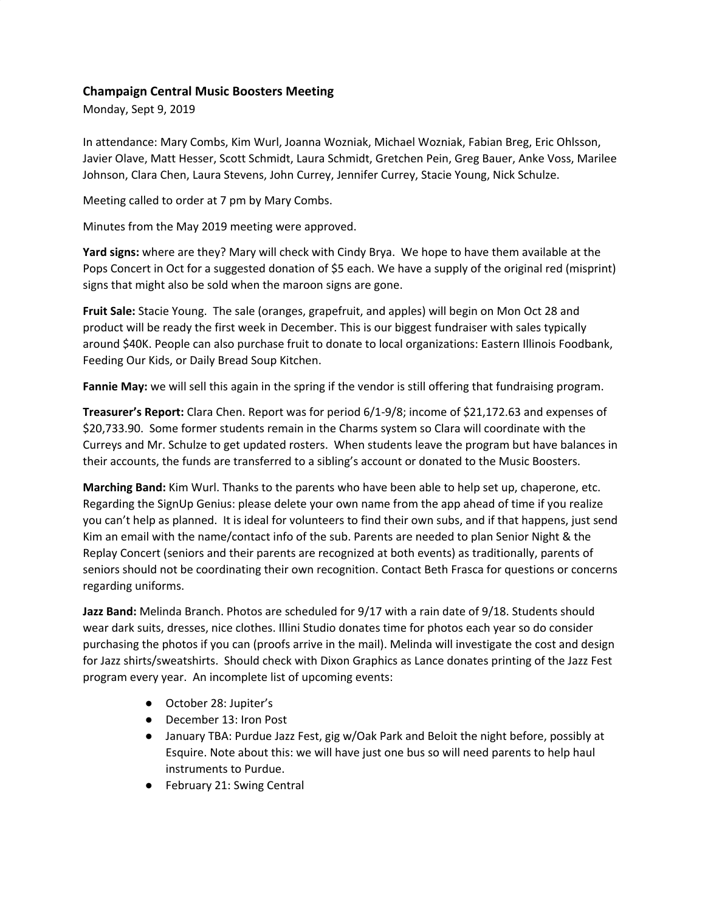## **Champaign Central Music Boosters Meeting**

Monday, Sept 9, 2019

In attendance: Mary Combs, Kim Wurl, Joanna Wozniak, Michael Wozniak, Fabian Breg, Eric Ohlsson, Javier Olave, Matt Hesser, Scott Schmidt, Laura Schmidt, Gretchen Pein, Greg Bauer, Anke Voss, Marilee Johnson, Clara Chen, Laura Stevens, John Currey, Jennifer Currey, Stacie Young, Nick Schulze.

Meeting called to order at 7 pm by Mary Combs.

Minutes from the May 2019 meeting were approved.

**Yard signs:** where are they? Mary will check with Cindy Brya. We hope to have them available at the Pops Concert in Oct for a suggested donation of \$5 each. We have a supply of the original red (misprint) signs that might also be sold when the maroon signs are gone.

**Fruit Sale:** Stacie Young. The sale (oranges, grapefruit, and apples) will begin on Mon Oct 28 and product will be ready the first week in December. This is our biggest fundraiser with sales typically around \$40K. People can also purchase fruit to donate to local organizations: Eastern Illinois Foodbank, Feeding Our Kids, or Daily Bread Soup Kitchen.

**Fannie May:** we will sell this again in the spring if the vendor is still offering that fundraising program.

**Treasurer's Report:** Clara Chen. Report was for period 6/1-9/8; income of \$21,172.63 and expenses of \$20,733.90. Some former students remain in the Charms system so Clara will coordinate with the Curreys and Mr. Schulze to get updated rosters. When students leave the program but have balances in their accounts, the funds are transferred to a sibling's account or donated to the Music Boosters.

**Marching Band:** Kim Wurl. Thanks to the parents who have been able to help set up, chaperone, etc. Regarding the SignUp Genius: please delete your own name from the app ahead of time if you realize you can't help as planned. It is ideal for volunteers to find their own subs, and if that happens, just send Kim an email with the name/contact info of the sub. Parents are needed to plan Senior Night & the Replay Concert (seniors and their parents are recognized at both events) as traditionally, parents of seniors should not be coordinating their own recognition. Contact Beth Frasca for questions or concerns regarding uniforms.

**Jazz Band:** Melinda Branch. Photos are scheduled for 9/17 with a rain date of 9/18. Students should wear dark suits, dresses, nice clothes. Illini Studio donates time for photos each year so do consider purchasing the photos if you can (proofs arrive in the mail). Melinda will investigate the cost and design for Jazz shirts/sweatshirts. Should check with Dixon Graphics as Lance donates printing of the Jazz Fest program every year. An incomplete list of upcoming events:

- October 28: Jupiter's
- December 13: Iron Post
- January TBA: Purdue Jazz Fest, gig w/Oak Park and Beloit the night before, possibly at Esquire. Note about this: we will have just one bus so will need parents to help haul instruments to Purdue.
- February 21: Swing Central